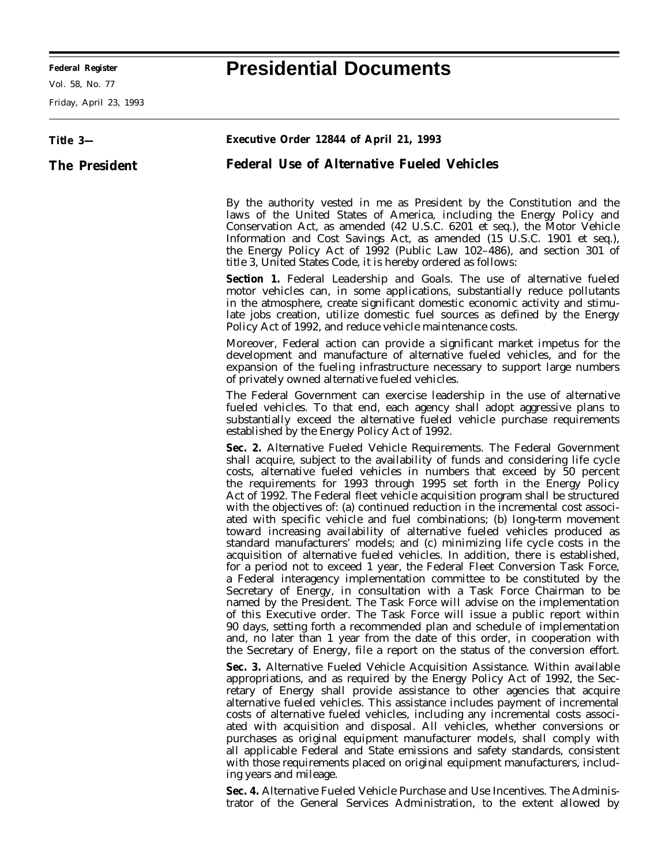Vol. 58, No. 77

Friday, April 23, 1993

## **Federal Register Presidential Documents**

| Title 3-             | <b>Executive Order 12844 of April 21, 1993</b>                                                                                                                                                                                                                                                                                                                                                                                                                                                                                                                                                                                                                                                                                                                                                                                                                                                                                                                                                                                                                                                                                                                                                                                                                                                                                                                                                                                                      |
|----------------------|-----------------------------------------------------------------------------------------------------------------------------------------------------------------------------------------------------------------------------------------------------------------------------------------------------------------------------------------------------------------------------------------------------------------------------------------------------------------------------------------------------------------------------------------------------------------------------------------------------------------------------------------------------------------------------------------------------------------------------------------------------------------------------------------------------------------------------------------------------------------------------------------------------------------------------------------------------------------------------------------------------------------------------------------------------------------------------------------------------------------------------------------------------------------------------------------------------------------------------------------------------------------------------------------------------------------------------------------------------------------------------------------------------------------------------------------------------|
| <b>The President</b> | <b>Federal Use of Alternative Fueled Vehicles</b>                                                                                                                                                                                                                                                                                                                                                                                                                                                                                                                                                                                                                                                                                                                                                                                                                                                                                                                                                                                                                                                                                                                                                                                                                                                                                                                                                                                                   |
|                      | By the authority vested in me as President by the Constitution and the<br>laws of the United States of America, including the Energy Policy and<br>Conservation Act, as amended (42 U.S.C. 6201 et seq.), the Motor Vehicle<br>Information and Cost Savings Act, as amended (15 U.S.C. 1901 et seq.),<br>the Energy Policy Act of 1992 (Public Law 102–486), and section 301 of<br>title 3, United States Code, it is hereby ordered as follows:                                                                                                                                                                                                                                                                                                                                                                                                                                                                                                                                                                                                                                                                                                                                                                                                                                                                                                                                                                                                    |
|                      | Section 1. Federal Leadership and Goals. The use of alternative fueled<br>motor vehicles can, in some applications, substantially reduce pollutants<br>in the atmosphere, create significant domestic economic activity and stimu-<br>late jobs creation, utilize domestic fuel sources as defined by the Energy<br>Policy Act of 1992, and reduce vehicle maintenance costs.                                                                                                                                                                                                                                                                                                                                                                                                                                                                                                                                                                                                                                                                                                                                                                                                                                                                                                                                                                                                                                                                       |
|                      | Moreover, Federal action can provide a significant market impetus for the<br>development and manufacture of alternative fueled vehicles, and for the<br>expansion of the fueling infrastructure necessary to support large numbers<br>of privately owned alternative fueled vehicles.                                                                                                                                                                                                                                                                                                                                                                                                                                                                                                                                                                                                                                                                                                                                                                                                                                                                                                                                                                                                                                                                                                                                                               |
|                      | The Federal Government can exercise leadership in the use of alternative<br>fueled vehicles. To that end, each agency shall adopt aggressive plans to<br>substantially exceed the alternative fueled vehicle purchase requirements<br>established by the Energy Policy Act of 1992.                                                                                                                                                                                                                                                                                                                                                                                                                                                                                                                                                                                                                                                                                                                                                                                                                                                                                                                                                                                                                                                                                                                                                                 |
|                      | Sec. 2. Alternative Fueled Vehicle Requirements. The Federal Government<br>shall acquire, subject to the availability of funds and considering life cycle<br>costs, alternative fueled vehicles in numbers that exceed by 50 percent<br>the requirements for 1993 through 1995 set forth in the Energy Policy<br>Act of 1992. The Federal fleet vehicle acquisition program shall be structured<br>with the objectives of: (a) continued reduction in the incremental cost associ-<br>ated with specific vehicle and fuel combinations; (b) long-term movement<br>toward increasing availability of alternative fueled vehicles produced as<br>standard manufacturers' models; and (c) minimizing life cycle costs in the<br>acquisition of alternative fueled vehicles. In addition, there is established,<br>for a period not to exceed 1 year, the Federal Fleet Conversion Task Force,<br>a Federal interagency implementation committee to be constituted by the<br>Secretary of Energy, in consultation with a Task Force Chairman to be<br>named by the President. The Task Force will advise on the implementation<br>of this Executive order. The Task Force will issue a public report within<br>90 days, setting forth a recommended plan and schedule of implementation<br>and, no later than 1 year from the date of this order, in cooperation with<br>the Secretary of Energy, file a report on the status of the conversion effort. |
|                      | <b>Sec. 3.</b> Alternative Fueled Vehicle Acquisition Assistance. Within available<br>appropriations, and as required by the Energy Policy Act of 1992, the Sec-<br>retary of Energy shall provide assistance to other agencies that acquire<br>alternative fueled vehicles. This assistance includes payment of incremental<br>costs of alternative fueled vehicles, including any incremental costs associ-<br>ated with acquisition and disposal. All vehicles, whether conversions or<br>purchases as original equipment manufacturer models, shall comply with<br>all applicable Federal and State emissions and safety standards, consistent<br>with those requirements placed on original equipment manufacturers, includ-<br>ing years and mileage.                                                                                                                                                                                                                                                                                                                                                                                                                                                                                                                                                                                                                                                                                         |

**Sec. 4.** *Alternative Fueled Vehicle Purchase and Use Incentives.* The Administrator of the General Services Administration, to the extent allowed by